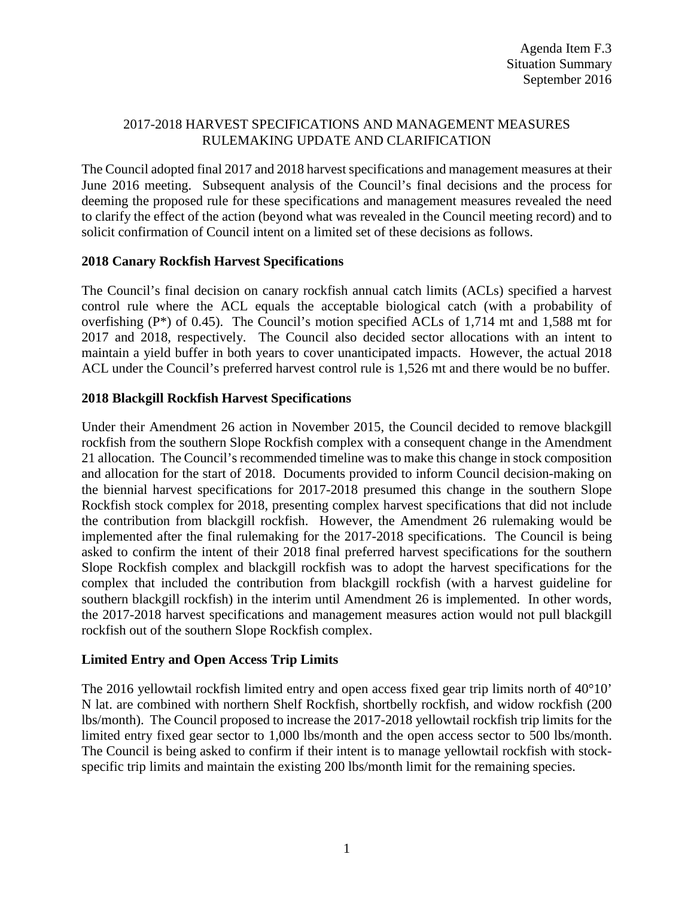## 2017-2018 HARVEST SPECIFICATIONS AND MANAGEMENT MEASURES RULEMAKING UPDATE AND CLARIFICATION

The Council adopted final 2017 and 2018 harvest specifications and management measures at their June 2016 meeting. Subsequent analysis of the Council's final decisions and the process for deeming the proposed rule for these specifications and management measures revealed the need to clarify the effect of the action (beyond what was revealed in the Council meeting record) and to solicit confirmation of Council intent on a limited set of these decisions as follows.

# **2018 Canary Rockfish Harvest Specifications**

The Council's final decision on canary rockfish annual catch limits (ACLs) specified a harvest control rule where the ACL equals the acceptable biological catch (with a probability of overfishing (P\*) of 0.45). The Council's motion specified ACLs of 1,714 mt and 1,588 mt for 2017 and 2018, respectively. The Council also decided sector allocations with an intent to maintain a yield buffer in both years to cover unanticipated impacts. However, the actual 2018 ACL under the Council's preferred harvest control rule is 1,526 mt and there would be no buffer.

#### **2018 Blackgill Rockfish Harvest Specifications**

Under their Amendment 26 action in November 2015, the Council decided to remove blackgill rockfish from the southern Slope Rockfish complex with a consequent change in the Amendment 21 allocation. The Council's recommended timeline was to make this change in stock composition and allocation for the start of 2018. Documents provided to inform Council decision-making on the biennial harvest specifications for 2017-2018 presumed this change in the southern Slope Rockfish stock complex for 2018, presenting complex harvest specifications that did not include the contribution from blackgill rockfish. However, the Amendment 26 rulemaking would be implemented after the final rulemaking for the 2017-2018 specifications. The Council is being asked to confirm the intent of their 2018 final preferred harvest specifications for the southern Slope Rockfish complex and blackgill rockfish was to adopt the harvest specifications for the complex that included the contribution from blackgill rockfish (with a harvest guideline for southern blackgill rockfish) in the interim until Amendment 26 is implemented. In other words, the 2017-2018 harvest specifications and management measures action would not pull blackgill rockfish out of the southern Slope Rockfish complex.

# **Limited Entry and Open Access Trip Limits**

The 2016 yellowtail rockfish limited entry and open access fixed gear trip limits north of 40°10' N lat. are combined with northern Shelf Rockfish, shortbelly rockfish, and widow rockfish (200 lbs/month). The Council proposed to increase the 2017-2018 yellowtail rockfish trip limits for the limited entry fixed gear sector to 1,000 lbs/month and the open access sector to 500 lbs/month. The Council is being asked to confirm if their intent is to manage yellowtail rockfish with stockspecific trip limits and maintain the existing 200 lbs/month limit for the remaining species.